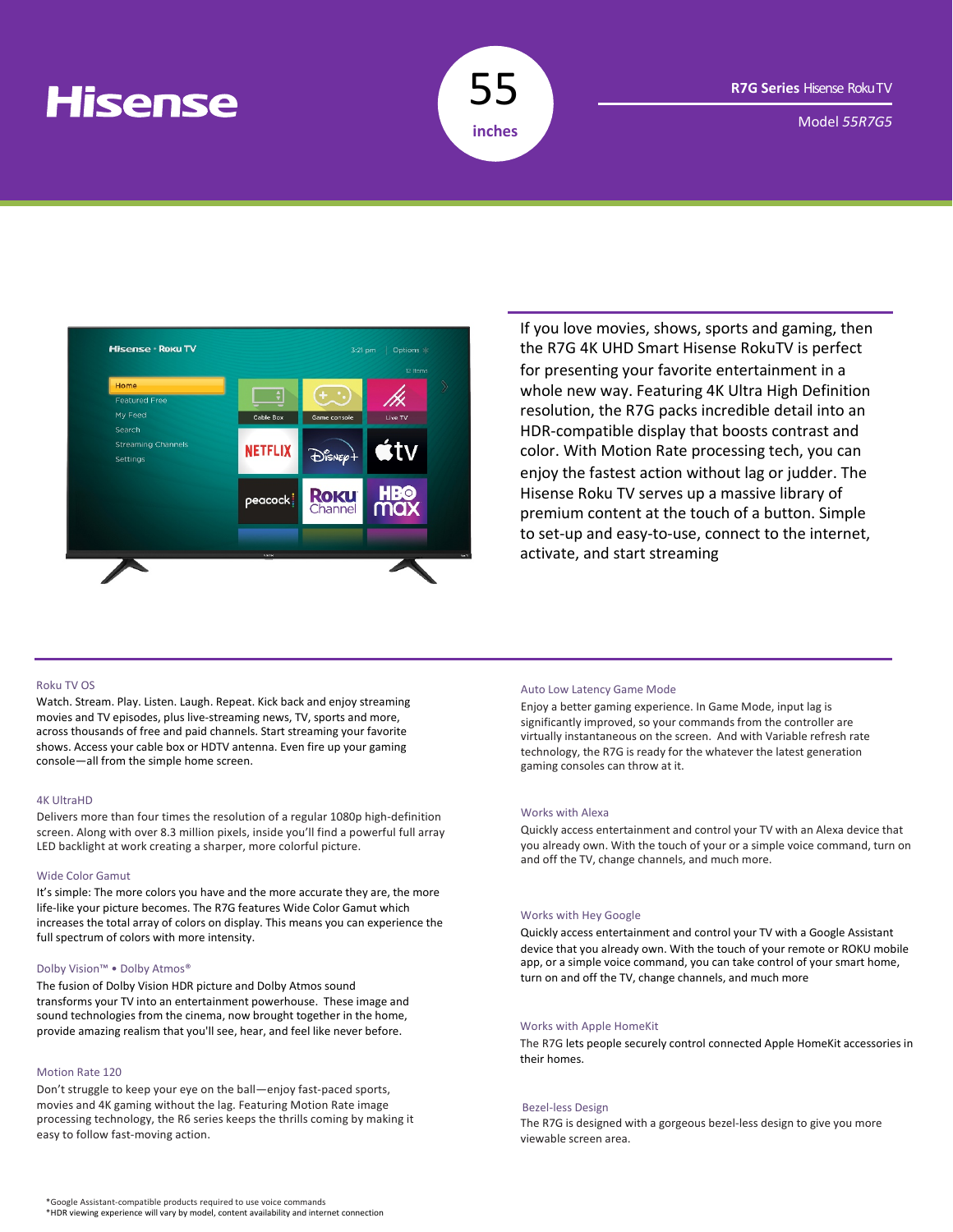# **Hisense**



Model *55R7G5*



If you love movies, shows, sports and gaming, then the R7G 4K UHD Smart Hisense RokuTV is perfect for presenting your favorite entertainment in a whole new way. Featuring 4K Ultra High Definition resolution, the R7G packs incredible detail into an HDR-compatible display that boosts contrast and color. With Motion Rate processing tech, you can enjoy the fastest action without lag or judder. The Hisense Roku TV serves up a massive library of premium content at the touch of a button. Simple to set-up and easy-to-use, connect to the internet, activate, and start streaming

# Roku TV OS

Watch. Stream. Play. Listen. Laugh. Repeat. Kick back and enjoy streaming movies and TV episodes, plus live-streaming news, TV, sports and more, across thousands of free and paid channels. Start streaming your favorite shows. Access your cable box or HDTV antenna. Even fire up your gaming console—all from the simple home screen.

#### 4K UltraHD

Delivers more than four times the resolution of a regular 1080p high-definition screen. Along with over 8.3 million pixels, inside you'll find a powerful full array LED backlight at work creating a sharper, more colorful picture.

#### Wide Color Gamut

It's simple: The more colors you have and the more accurate they are, the more life-like your picture becomes. The R7G features Wide Color Gamut which increases the total array of colors on display. This means you can experience the full spectrum of colors with more intensity.

### Dolby Vision™ • Dolby Atmos®

The fusion of Dolby Vision HDR picture and Dolby Atmos sound transforms your TV into an entertainment powerhouse. These image and sound technologies from the cinema, now brought together in the home, provide amazing realism that you'll see, hear, and feel like never before.

#### Motion Rate 120

Don't struggle to keep your eye on the ball—enjoy fast-paced sports, movies and 4K gaming without the lag. Featuring Motion Rate image processing technology, the R6 series keeps the thrills coming by making it easy to follow fast-moving action.

#### Auto Low Latency Game Mode

Enjoy a better gaming experience. In Game Mode, input lag is significantly improved, so your commands from the controller are virtually instantaneous on the screen. And with Variable refresh rate technology, the R7G is ready for the whatever the latest generation gaming consoles can throw at it.

## Works with Alexa

Quickly access entertainment and control your TV with an Alexa device that you already own. With the touch of your or a simple voice command, turn on and off the TV, change channels, and much more.

### Works with Hey Google

Quickly access entertainment and control your TV with a Google Assistant device that you already own. With the touch of your remote or ROKU mobile app, or a simple voice command, you can take control of your smart home, turn on and off the TV, change channels, and much more

## Works with Apple HomeKit

The R7G lets people securely control connected Apple HomeKit accessories in their homes.

#### Bezel-less Design

The R7G is designed with a gorgeous bezel-less design to give you more viewable screen area.